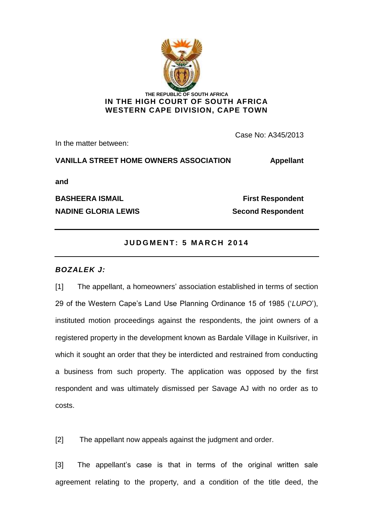

In the matter between:

Case No: A345/2013

**VANILLA STREET HOME OWNERS ASSOCIATION Appellant**

**and** 

**NADINE GLORIA LEWIS** Second Respondent

**BASHEERA ISMAIL First Respondent** 

# **J U D G M E N T : 5 M A R C H 2 0 1 4**

## *BOZALEK J:*

[1] The appellant, a homeowners' association established in terms of section 29 of the Western Cape's Land Use Planning Ordinance 15 of 1985 ('*LUPO*'), instituted motion proceedings against the respondents, the joint owners of a registered property in the development known as Bardale Village in Kuilsriver, in which it sought an order that they be interdicted and restrained from conducting a business from such property. The application was opposed by the first respondent and was ultimately dismissed per Savage AJ with no order as to costs.

[2] The appellant now appeals against the judgment and order.

[3] The appellant's case is that in terms of the original written sale agreement relating to the property, and a condition of the title deed, the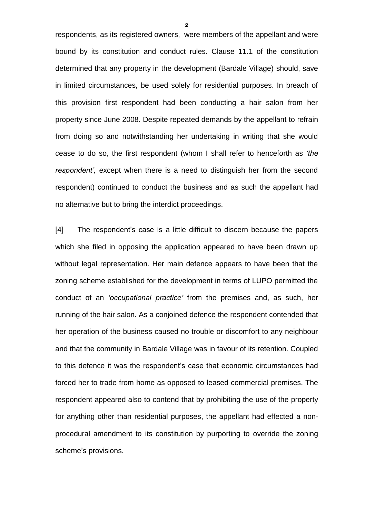respondents, as its registered owners, were members of the appellant and were bound by its constitution and conduct rules. Clause 11.1 of the constitution determined that any property in the development (Bardale Village) should, save in limited circumstances, be used solely for residential purposes. In breach of this provision first respondent had been conducting a hair salon from her property since June 2008. Despite repeated demands by the appellant to refrain from doing so and notwithstanding her undertaking in writing that she would cease to do so, the first respondent (whom I shall refer to henceforth as *'the respondent',* except when there is a need to distinguish her from the second respondent) continued to conduct the business and as such the appellant had no alternative but to bring the interdict proceedings.

[4] The respondent's case is a little difficult to discern because the papers which she filed in opposing the application appeared to have been drawn up without legal representation. Her main defence appears to have been that the zoning scheme established for the development in terms of LUPO permitted the conduct of an *'occupational practice'* from the premises and, as such, her running of the hair salon. As a conjoined defence the respondent contended that her operation of the business caused no trouble or discomfort to any neighbour and that the community in Bardale Village was in favour of its retention. Coupled to this defence it was the respondent's case that economic circumstances had forced her to trade from home as opposed to leased commercial premises. The respondent appeared also to contend that by prohibiting the use of the property for anything other than residential purposes, the appellant had effected a nonprocedural amendment to its constitution by purporting to override the zoning scheme's provisions.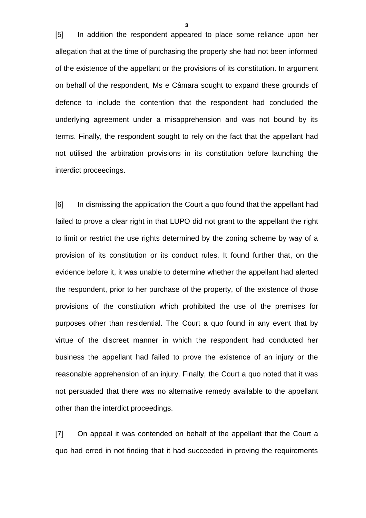[5] In addition the respondent appeared to place some reliance upon her allegation that at the time of purchasing the property she had not been informed of the existence of the appellant or the provisions of its constitution. In argument on behalf of the respondent, Ms e Câmara sought to expand these grounds of defence to include the contention that the respondent had concluded the underlying agreement under a misapprehension and was not bound by its terms. Finally, the respondent sought to rely on the fact that the appellant had not utilised the arbitration provisions in its constitution before launching the interdict proceedings.

[6] In dismissing the application the Court a quo found that the appellant had failed to prove a clear right in that LUPO did not grant to the appellant the right to limit or restrict the use rights determined by the zoning scheme by way of a provision of its constitution or its conduct rules. It found further that, on the evidence before it, it was unable to determine whether the appellant had alerted the respondent, prior to her purchase of the property, of the existence of those provisions of the constitution which prohibited the use of the premises for purposes other than residential. The Court a quo found in any event that by virtue of the discreet manner in which the respondent had conducted her business the appellant had failed to prove the existence of an injury or the reasonable apprehension of an injury. Finally, the Court a quo noted that it was not persuaded that there was no alternative remedy available to the appellant other than the interdict proceedings.

[7] On appeal it was contended on behalf of the appellant that the Court a quo had erred in not finding that it had succeeded in proving the requirements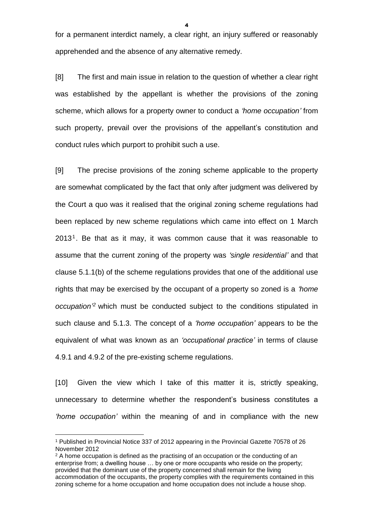for a permanent interdict namely, a clear right, an injury suffered or reasonably apprehended and the absence of any alternative remedy.

[8] The first and main issue in relation to the question of whether a clear right was established by the appellant is whether the provisions of the zoning scheme, which allows for a property owner to conduct a *'home occupation'* from such property, prevail over the provisions of the appellant's constitution and conduct rules which purport to prohibit such a use.

[9] The precise provisions of the zoning scheme applicable to the property are somewhat complicated by the fact that only after judgment was delivered by the Court a quo was it realised that the original zoning scheme regulations had been replaced by new scheme regulations which came into effect on 1 March 2013<sup>1</sup>. Be that as it may, it was common cause that it was reasonable to assume that the current zoning of the property was *'single residential'* and that clause 5.1.1(b) of the scheme regulations provides that one of the additional use rights that may be exercised by the occupant of a property so zoned is a *'home occupation' <sup>2</sup>* which must be conducted subject to the conditions stipulated in such clause and 5.1.3. The concept of a *'home occupation'* appears to be the equivalent of what was known as an *'occupational practice'* in terms of clause 4.9.1 and 4.9.2 of the pre-existing scheme regulations.

[10] Given the view which I take of this matter it is, strictly speaking, unnecessary to determine whether the respondent's business constitutes a *'home occupation'* within the meaning of and in compliance with the new

1

<sup>1</sup> Published in Provincial Notice 337 of 2012 appearing in the Provincial Gazette 70578 of 26 November 2012

<sup>&</sup>lt;sup>2</sup> A home occupation is defined as the practising of an occupation or the conducting of an enterprise from; a dwelling house … by one or more occupants who reside on the property; provided that the dominant use of the property concerned shall remain for the living accommodation of the occupants, the property complies with the requirements contained in this zoning scheme for a home occupation and home occupation does not include a house shop.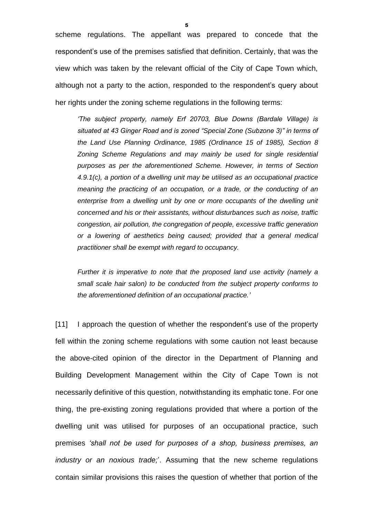scheme regulations. The appellant was prepared to concede that the respondent's use of the premises satisfied that definition. Certainly, that was the view which was taken by the relevant official of the City of Cape Town which, although not a party to the action, responded to the respondent's query about her rights under the zoning scheme regulations in the following terms:

*'The subject property, namely Erf 20703, Blue Downs (Bardale Village) is situated at 43 Ginger Road and is zoned "Special Zone (Subzone 3)" in terms of the Land Use Planning Ordinance, 1985 (Ordinance 15 of 1985), Section 8 Zoning Scheme Regulations and may mainly be used for single residential purposes as per the aforementioned Scheme. However, in terms of Section 4.9.1(c), a portion of a dwelling unit may be utilised as an occupational practice meaning the practicing of an occupation, or a trade, or the conducting of an*  enterprise from a dwelling unit by one or more occupants of the dwelling unit *concerned and his or their assistants, without disturbances such as noise, traffic congestion, air pollution, the congregation of people, excessive traffic generation or a lowering of aesthetics being caused; provided that a general medical practitioner shall be exempt with regard to occupancy.*

*Further it is imperative to note that the proposed land use activity (namely a small scale hair salon) to be conducted from the subject property conforms to the aforementioned definition of an occupational practice.'*

[11] I approach the question of whether the respondent's use of the property fell within the zoning scheme regulations with some caution not least because the above-cited opinion of the director in the Department of Planning and Building Development Management within the City of Cape Town is not necessarily definitive of this question, notwithstanding its emphatic tone. For one thing, the pre-existing zoning regulations provided that where a portion of the dwelling unit was utilised for purposes of an occupational practice, such premises *'shall not be used for purposes of a shop, business premises, an industry or an noxious trade;*'. Assuming that the new scheme regulations contain similar provisions this raises the question of whether that portion of the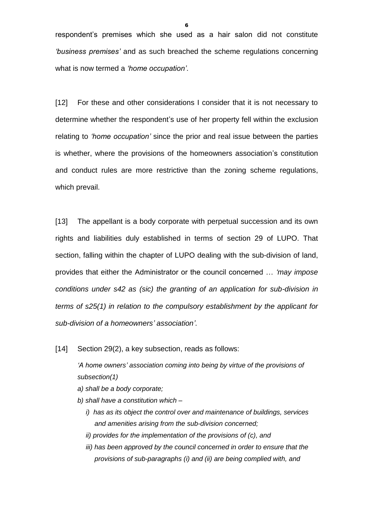respondent's premises which she used as a hair salon did not constitute *'business premises'* and as such breached the scheme regulations concerning what is now termed a *'home occupation'*.

[12] For these and other considerations I consider that it is not necessary to determine whether the respondent's use of her property fell within the exclusion relating to *'home occupation'* since the prior and real issue between the parties is whether, where the provisions of the homeowners association's constitution and conduct rules are more restrictive than the zoning scheme regulations, which prevail.

[13] The appellant is a body corporate with perpetual succession and its own rights and liabilities duly established in terms of section 29 of LUPO. That section, falling within the chapter of LUPO dealing with the sub-division of land, provides that either the Administrator or the council concerned … *'may impose conditions under s42 as (sic) the granting of an application for sub-division in terms of s25(1) in relation to the compulsory establishment by the applicant for sub-division of a homeowners' association'*.

[14] Section 29(2), a key subsection, reads as follows:

*'A home owners' association coming into being by virtue of the provisions of subsection(1)* 

- *a) shall be a body corporate;*
- *b) shall have a constitution which –*
	- *i) has as its object the control over and maintenance of buildings, services and amenities arising from the sub-division concerned;*
	- *ii) provides for the implementation of the provisions of (c), and*
	- *iii)* has been approved by the council concerned in order to ensure that the *provisions of sub-paragraphs (i) and (ii) are being complied with, and*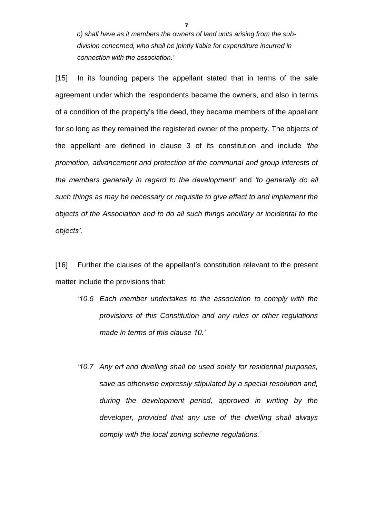*c) shall have as it members the owners of land units arising from the subdivision concerned, who shall be jointly liable for expenditure incurred in connection with the association.'*

[15] In its founding papers the appellant stated that in terms of the sale agreement under which the respondents became the owners, and also in terms of a condition of the property's title deed, they became members of the appellant for so long as they remained the registered owner of the property. The objects of the appellant are defined in clause 3 of its constitution and include *'the promotion, advancement and protection of the communal and group interests of the members generally in regard to the development'* and *'to generally do all such things as may be necessary or requisite to give effect to and implement the objects of the Association and to do all such things ancillary or incidental to the objects'*.

[16] Further the clauses of the appellant's constitution relevant to the present matter include the provisions that:

- *'10.5 Each member undertakes to the association to comply with the provisions of this Constitution and any rules or other regulations made in terms of this clause 10.'*
- *'10.7 Any erf and dwelling shall be used solely for residential purposes, save as otherwise expressly stipulated by a special resolution and, during the development period, approved in writing by the developer, provided that any use of the dwelling shall always comply with the local zoning scheme regulations.'*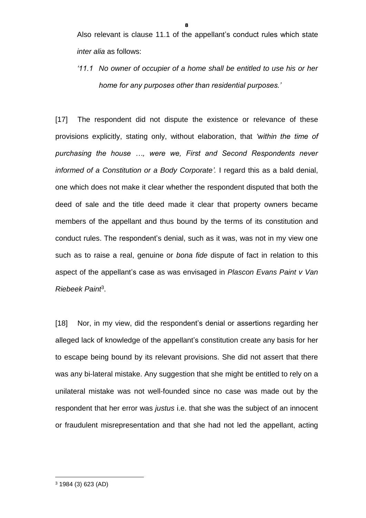Also relevant is clause 11.1 of the appellant's conduct rules which state *inter alia* as follows:

*'11.1 No owner of occupier of a home shall be entitled to use his or her home for any purposes other than residential purposes.'*

[17] The respondent did not dispute the existence or relevance of these provisions explicitly, stating only, without elaboration, that *'within the time of purchasing the house …, were we, First and Second Respondents never informed of a Constitution or a Body Corporate'.* I regard this as a bald denial, one which does not make it clear whether the respondent disputed that both the deed of sale and the title deed made it clear that property owners became members of the appellant and thus bound by the terms of its constitution and conduct rules. The respondent's denial, such as it was, was not in my view one such as to raise a real, genuine or *bona fide* dispute of fact in relation to this aspect of the appellant's case as was envisaged in *Plascon Evans Paint v Van Riebeek Paint*<sup>3</sup> .

[18] Nor, in my view, did the respondent's denial or assertions regarding her alleged lack of knowledge of the appellant's constitution create any basis for her to escape being bound by its relevant provisions. She did not assert that there was any bi-lateral mistake. Any suggestion that she might be entitled to rely on a unilateral mistake was not well-founded since no case was made out by the respondent that her error was *justus* i.e. that she was the subject of an innocent or fraudulent misrepresentation and that she had not led the appellant, acting

<sup>3</sup> 1984 (3) 623 (AD)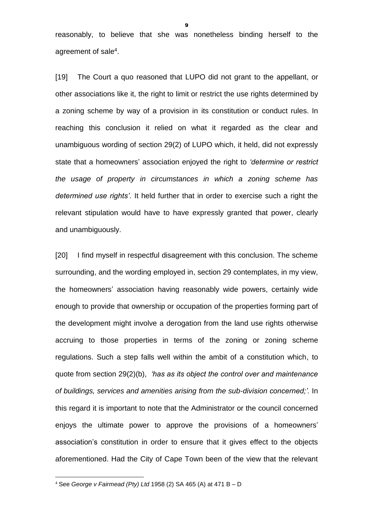reasonably, to believe that she was nonetheless binding herself to the agreement of sale<sup>4</sup>.

[19] The Court a quo reasoned that LUPO did not grant to the appellant, or other associations like it, the right to limit or restrict the use rights determined by a zoning scheme by way of a provision in its constitution or conduct rules. In reaching this conclusion it relied on what it regarded as the clear and unambiguous wording of section 29(2) of LUPO which, it held, did not expressly state that a homeowners' association enjoyed the right to *'determine or restrict the usage of property in circumstances in which a zoning scheme has determined use rights'*. It held further that in order to exercise such a right the relevant stipulation would have to have expressly granted that power, clearly and unambiguously.

[20] I find myself in respectful disagreement with this conclusion. The scheme surrounding, and the wording employed in, section 29 contemplates, in my view, the homeowners' association having reasonably wide powers, certainly wide enough to provide that ownership or occupation of the properties forming part of the development might involve a derogation from the land use rights otherwise accruing to those properties in terms of the zoning or zoning scheme regulations. Such a step falls well within the ambit of a constitution which, to quote from section 29(2)(b), *'has as its object the control over and maintenance of buildings, services and amenities arising from the sub-division concerned;'.* In this regard it is important to note that the Administrator or the council concerned enjoys the ultimate power to approve the provisions of a homeowners' association's constitution in order to ensure that it gives effect to the objects aforementioned. Had the City of Cape Town been of the view that the relevant

<sup>4</sup> See *George v Fairmead (Pty) Ltd* 1958 (2) SA 465 (A) at 471 B – D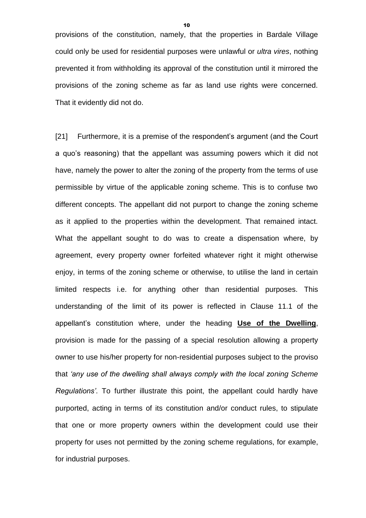provisions of the constitution, namely, that the properties in Bardale Village could only be used for residential purposes were unlawful or *ultra vires*, nothing prevented it from withholding its approval of the constitution until it mirrored the provisions of the zoning scheme as far as land use rights were concerned. That it evidently did not do.

[21] Furthermore, it is a premise of the respondent's argument (and the Court a quo's reasoning) that the appellant was assuming powers which it did not have, namely the power to alter the zoning of the property from the terms of use permissible by virtue of the applicable zoning scheme. This is to confuse two different concepts. The appellant did not purport to change the zoning scheme as it applied to the properties within the development. That remained intact. What the appellant sought to do was to create a dispensation where, by agreement, every property owner forfeited whatever right it might otherwise enjoy, in terms of the zoning scheme or otherwise, to utilise the land in certain limited respects i.e. for anything other than residential purposes. This understanding of the limit of its power is reflected in Clause 11.1 of the appellant's constitution where, under the heading **Use of the Dwelling**, provision is made for the passing of a special resolution allowing a property owner to use his/her property for non-residential purposes subject to the proviso that *'any use of the dwelling shall always comply with the local zoning Scheme Regulations'*. To further illustrate this point, the appellant could hardly have purported, acting in terms of its constitution and/or conduct rules, to stipulate that one or more property owners within the development could use their property for uses not permitted by the zoning scheme regulations, for example, for industrial purposes.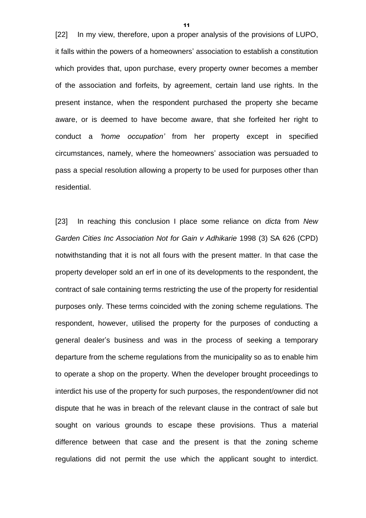[22] In my view, therefore, upon a proper analysis of the provisions of LUPO, it falls within the powers of a homeowners' association to establish a constitution which provides that, upon purchase, every property owner becomes a member of the association and forfeits, by agreement, certain land use rights. In the present instance, when the respondent purchased the property she became aware, or is deemed to have become aware, that she forfeited her right to conduct a *'home occupation'* from her property except in specified circumstances, namely, where the homeowners' association was persuaded to pass a special resolution allowing a property to be used for purposes other than residential.

[23] In reaching this conclusion I place some reliance on *dicta* from *New Garden Cities Inc Association Not for Gain v Adhikarie* 1998 (3) SA 626 (CPD) notwithstanding that it is not all fours with the present matter. In that case the property developer sold an erf in one of its developments to the respondent, the contract of sale containing terms restricting the use of the property for residential purposes only. These terms coincided with the zoning scheme regulations. The respondent, however, utilised the property for the purposes of conducting a general dealer's business and was in the process of seeking a temporary departure from the scheme regulations from the municipality so as to enable him to operate a shop on the property. When the developer brought proceedings to interdict his use of the property for such purposes, the respondent/owner did not dispute that he was in breach of the relevant clause in the contract of sale but sought on various grounds to escape these provisions. Thus a material difference between that case and the present is that the zoning scheme regulations did not permit the use which the applicant sought to interdict.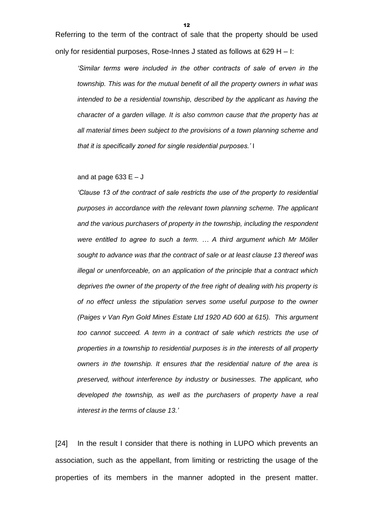Referring to the term of the contract of sale that the property should be used only for residential purposes, Rose-Innes J stated as follows at 629 H  $-$  I:

*'Similar terms were included in the other contracts of sale of erven in the township. This was for the mutual benefit of all the property owners in what was intended to be a residential township, described by the applicant as having the character of a garden village. It is also common cause that the property has at all material times been subject to the provisions of a town planning scheme and that it is specifically zoned for single residential purposes.'* I

#### and at page 633  $E - J$

*'Clause 13 of the contract of sale restricts the use of the property to residential purposes in accordance with the relevant town planning scheme. The applicant and the various purchasers of property in the township, including the respondent were entitled to agree to such a term. … A third argument which Mr Möller sought to advance was that the contract of sale or at least clause 13 thereof was illegal or unenforceable, on an application of the principle that a contract which deprives the owner of the property of the free right of dealing with his property is of no effect unless the stipulation serves some useful purpose to the owner (Paiges v Van Ryn Gold Mines Estate Ltd 1920 AD 600 at 615). This argument too cannot succeed. A term in a contract of sale which restricts the use of properties in a township to residential purposes is in the interests of all property owners in the township. It ensures that the residential nature of the area is preserved, without interference by industry or businesses. The applicant, who developed the township, as well as the purchasers of property have a real interest in the terms of clause 13.'*

[24] In the result I consider that there is nothing in LUPO which prevents an association, such as the appellant, from limiting or restricting the usage of the properties of its members in the manner adopted in the present matter.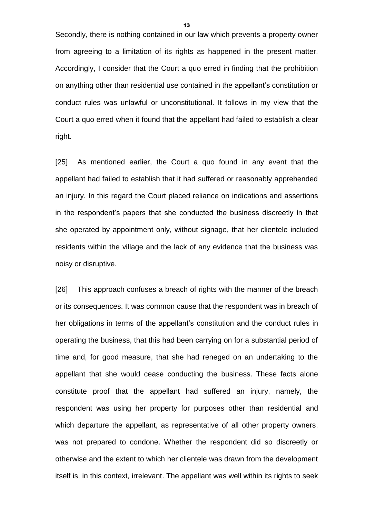Secondly, there is nothing contained in our law which prevents a property owner from agreeing to a limitation of its rights as happened in the present matter. Accordingly, I consider that the Court a quo erred in finding that the prohibition on anything other than residential use contained in the appellant's constitution or conduct rules was unlawful or unconstitutional. It follows in my view that the Court a quo erred when it found that the appellant had failed to establish a clear right.

[25] As mentioned earlier, the Court a quo found in any event that the appellant had failed to establish that it had suffered or reasonably apprehended an injury. In this regard the Court placed reliance on indications and assertions in the respondent's papers that she conducted the business discreetly in that she operated by appointment only, without signage, that her clientele included residents within the village and the lack of any evidence that the business was noisy or disruptive.

[26] This approach confuses a breach of rights with the manner of the breach or its consequences. It was common cause that the respondent was in breach of her obligations in terms of the appellant's constitution and the conduct rules in operating the business, that this had been carrying on for a substantial period of time and, for good measure, that she had reneged on an undertaking to the appellant that she would cease conducting the business. These facts alone constitute proof that the appellant had suffered an injury, namely, the respondent was using her property for purposes other than residential and which departure the appellant, as representative of all other property owners, was not prepared to condone. Whether the respondent did so discreetly or otherwise and the extent to which her clientele was drawn from the development itself is, in this context, irrelevant. The appellant was well within its rights to seek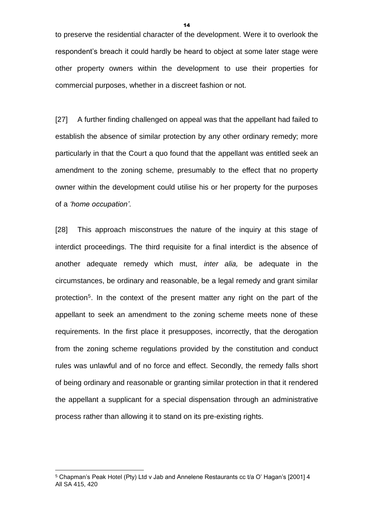to preserve the residential character of the development. Were it to overlook the respondent's breach it could hardly be heard to object at some later stage were other property owners within the development to use their properties for commercial purposes, whether in a discreet fashion or not.

[27] A further finding challenged on appeal was that the appellant had failed to establish the absence of similar protection by any other ordinary remedy; more particularly in that the Court a quo found that the appellant was entitled seek an amendment to the zoning scheme, presumably to the effect that no property owner within the development could utilise his or her property for the purposes of a *'home occupation'*.

[28] This approach misconstrues the nature of the inquiry at this stage of interdict proceedings. The third requisite for a final interdict is the absence of another adequate remedy which must, *inter alia,* be adequate in the circumstances, be ordinary and reasonable, be a legal remedy and grant similar protection<sup>5</sup>. In the context of the present matter any right on the part of the appellant to seek an amendment to the zoning scheme meets none of these requirements. In the first place it presupposes, incorrectly, that the derogation from the zoning scheme regulations provided by the constitution and conduct rules was unlawful and of no force and effect. Secondly, the remedy falls short of being ordinary and reasonable or granting similar protection in that it rendered the appellant a supplicant for a special dispensation through an administrative process rather than allowing it to stand on its pre-existing rights.

1

<sup>5</sup> Chapman's Peak Hotel (Pty) Ltd v Jab and Annelene Restaurants cc t/a O' Hagan's [2001] 4 All SA 415, 420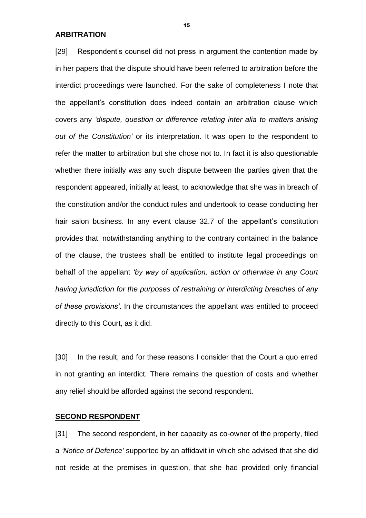**ARBITRATION**

[29] Respondent's counsel did not press in argument the contention made by in her papers that the dispute should have been referred to arbitration before the interdict proceedings were launched. For the sake of completeness I note that the appellant's constitution does indeed contain an arbitration clause which covers any *'dispute, question or difference relating inter alia to matters arising out of the Constitution'* or its interpretation. It was open to the respondent to refer the matter to arbitration but she chose not to. In fact it is also questionable whether there initially was any such dispute between the parties given that the respondent appeared, initially at least, to acknowledge that she was in breach of the constitution and/or the conduct rules and undertook to cease conducting her hair salon business. In any event clause 32.7 of the appellant's constitution provides that, notwithstanding anything to the contrary contained in the balance of the clause, the trustees shall be entitled to institute legal proceedings on behalf of the appellant *'by way of application, action or otherwise in any Court having jurisdiction for the purposes of restraining or interdicting breaches of any of these provisions'*. In the circumstances the appellant was entitled to proceed directly to this Court, as it did.

[30] In the result, and for these reasons I consider that the Court a quo erred in not granting an interdict. There remains the question of costs and whether any relief should be afforded against the second respondent.

## **SECOND RESPONDENT**

[31] The second respondent, in her capacity as co-owner of the property, filed a *'Notice of Defence'* supported by an affidavit in which she advised that she did not reside at the premises in question, that she had provided only financial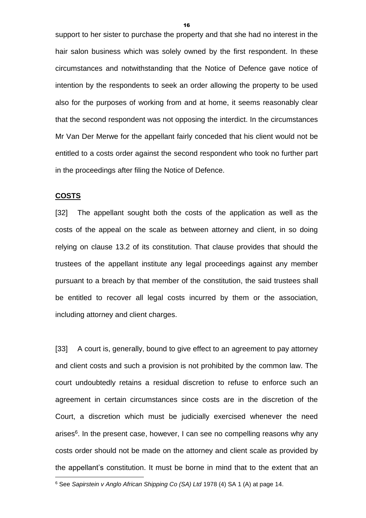support to her sister to purchase the property and that she had no interest in the hair salon business which was solely owned by the first respondent. In these circumstances and notwithstanding that the Notice of Defence gave notice of intention by the respondents to seek an order allowing the property to be used also for the purposes of working from and at home, it seems reasonably clear that the second respondent was not opposing the interdict. In the circumstances Mr Van Der Merwe for the appellant fairly conceded that his client would not be entitled to a costs order against the second respondent who took no further part in the proceedings after filing the Notice of Defence.

### **COSTS**

1

[32] The appellant sought both the costs of the application as well as the costs of the appeal on the scale as between attorney and client, in so doing relying on clause 13.2 of its constitution. That clause provides that should the trustees of the appellant institute any legal proceedings against any member pursuant to a breach by that member of the constitution, the said trustees shall be entitled to recover all legal costs incurred by them or the association, including attorney and client charges.

[33] A court is, generally, bound to give effect to an agreement to pay attorney and client costs and such a provision is not prohibited by the common law. The court undoubtedly retains a residual discretion to refuse to enforce such an agreement in certain circumstances since costs are in the discretion of the Court, a discretion which must be judicially exercised whenever the need arises<sup>6</sup>. In the present case, however, I can see no compelling reasons why any costs order should not be made on the attorney and client scale as provided by the appellant's constitution. It must be borne in mind that to the extent that an

<sup>6</sup> See *Sapirstein v Anglo African Shipping Co (SA) Ltd* 1978 (4) SA 1 (A) at page 14.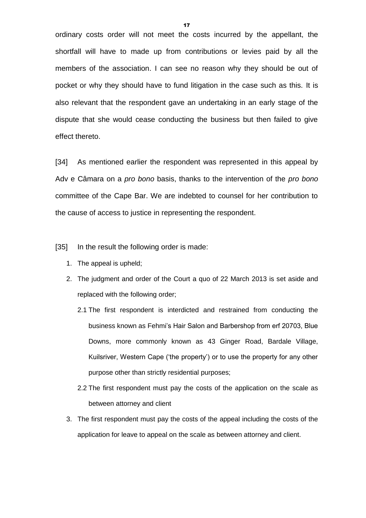ordinary costs order will not meet the costs incurred by the appellant, the shortfall will have to made up from contributions or levies paid by all the members of the association. I can see no reason why they should be out of pocket or why they should have to fund litigation in the case such as this. It is also relevant that the respondent gave an undertaking in an early stage of the dispute that she would cease conducting the business but then failed to give effect thereto.

[34] As mentioned earlier the respondent was represented in this appeal by Adv e Câmara on a *pro bono* basis, thanks to the intervention of the *pro bono* committee of the Cape Bar. We are indebted to counsel for her contribution to the cause of access to justice in representing the respondent.

[35] In the result the following order is made:

- 1. The appeal is upheld;
- 2. The judgment and order of the Court a quo of 22 March 2013 is set aside and replaced with the following order;
	- 2.1 The first respondent is interdicted and restrained from conducting the business known as Fehmi's Hair Salon and Barbershop from erf 20703, Blue Downs, more commonly known as 43 Ginger Road, Bardale Village, Kuilsriver, Western Cape ('the property') or to use the property for any other purpose other than strictly residential purposes;
	- 2.2 The first respondent must pay the costs of the application on the scale as between attorney and client
- 3. The first respondent must pay the costs of the appeal including the costs of the application for leave to appeal on the scale as between attorney and client.